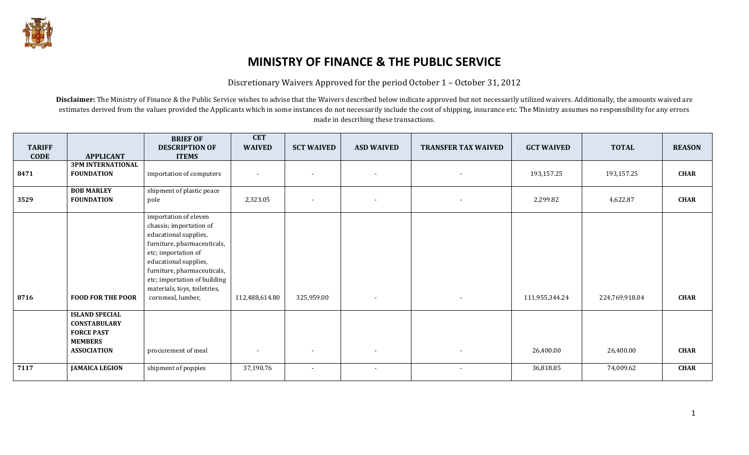

## MINISTRY OF FINANCE & THE PUBLIC SERVICE

Discretionary Waivers Approved for the period October 1 – October 31, 2012

Disclaimer: The Ministry of Finance & the Public Service wishes to advise that the Waivers described below indicate approved but not necessarily utilized waivers. Additionally, the amounts waived are estimates derived from the values provided the Applicants which in some instances do not necessarily include the cost of shipping, insurance etc. The Ministry assumes no responsibility for any errors made in describing these transactions.

| <b>TARIFF</b><br><b>CODE</b> | <b>APPLICANT</b>                                                                                          | <b>BRIEF OF</b><br><b>DESCRIPTION OF</b><br><b>ITEMS</b>                                                                                                                                                                                                                     | <b>CET</b><br><b>WAIVED</b> | <b>SCT WAIVED</b>        | <b>ASD WAIVED</b> | <b>TRANSFER TAX WAIVED</b> | <b>GCT WAIVED</b> | <b>TOTAL</b>   | <b>REASON</b> |
|------------------------------|-----------------------------------------------------------------------------------------------------------|------------------------------------------------------------------------------------------------------------------------------------------------------------------------------------------------------------------------------------------------------------------------------|-----------------------------|--------------------------|-------------------|----------------------------|-------------------|----------------|---------------|
| 8471                         | <b>3PM INTERNATIONAL</b><br><b>FOUNDATION</b>                                                             | importation of computers                                                                                                                                                                                                                                                     |                             | $\overline{\phantom{a}}$ | $\sim$            | $\overline{\phantom{a}}$   | 193,157.25        | 193,157.25     | <b>CHAR</b>   |
| 3529                         | <b>BOB MARLEY</b><br><b>FOUNDATION</b>                                                                    | shipment of plastic peace<br>pole                                                                                                                                                                                                                                            | 2,323.05                    |                          | $\sim$            | $\overline{\phantom{a}}$   | 2,299.82          | 4,622.87       | <b>CHAR</b>   |
| 8716                         | <b>FOOD FOR THE POOR</b>                                                                                  | importation of eleven<br>chassis; importation of<br>educational supplies,<br>furniture, pharmaceuticals,<br>etc; importation of<br>educational supplies,<br>furniture, pharmaceuticals,<br>etc; importation of building<br>materials, toys, toiletries,<br>cornmeal, lumber, | 112,488,614.80              | 325,959.00               | $\sim$            | $\overline{\phantom{a}}$   | 111,955,344.24    | 224,769,918.04 | <b>CHAR</b>   |
|                              | <b>ISLAND SPECIAL</b><br><b>CONSTABULARY</b><br><b>FORCE PAST</b><br><b>MEMBERS</b><br><b>ASSOCIATION</b> | procurement of meal                                                                                                                                                                                                                                                          | $\blacksquare$              | $\overline{\phantom{a}}$ | $\sim$            | $\overline{\phantom{a}}$   | 26,400.00         | 26,400.00      | <b>CHAR</b>   |
| 7117                         | <b>JAMAICA LEGION</b>                                                                                     | shipment of poppies                                                                                                                                                                                                                                                          | 37,190.76                   | $\overline{\phantom{a}}$ | $\sim$            | $\blacksquare$             | 36,818.85         | 74,009.62      | <b>CHAR</b>   |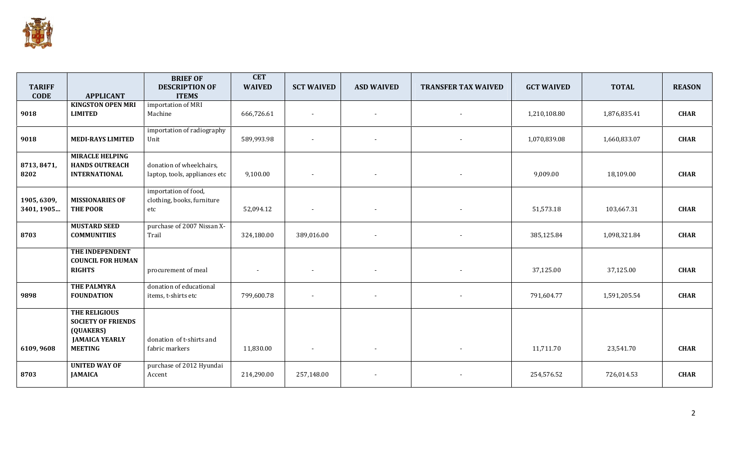

|                     |                                               | <b>BRIEF OF</b>               | <b>CET</b>    |                          |                          |                            |                   |              |               |
|---------------------|-----------------------------------------------|-------------------------------|---------------|--------------------------|--------------------------|----------------------------|-------------------|--------------|---------------|
| <b>TARIFF</b>       |                                               | <b>DESCRIPTION OF</b>         | <b>WAIVED</b> | <b>SCT WAIVED</b>        | <b>ASD WAIVED</b>        | <b>TRANSFER TAX WAIVED</b> | <b>GCT WAIVED</b> | <b>TOTAL</b> | <b>REASON</b> |
| <b>CODE</b>         | <b>APPLICANT</b>                              | <b>ITEMS</b>                  |               |                          |                          |                            |                   |              |               |
|                     | <b>KINGSTON OPEN MRI</b>                      | importation of MRI            |               |                          |                          |                            |                   |              |               |
| 9018                | <b>LIMITED</b>                                | Machine                       | 666,726.61    | $\overline{\phantom{a}}$ | $\overline{\phantom{a}}$ |                            | 1,210,108.80      | 1,876,835.41 | <b>CHAR</b>   |
|                     |                                               | importation of radiography    |               |                          |                          |                            |                   |              |               |
| 9018                | <b>MEDI-RAYS LIMITED</b>                      | Unit                          | 589,993.98    |                          |                          |                            | 1,070,839.08      | 1,660,833.07 | <b>CHAR</b>   |
|                     |                                               |                               |               |                          |                          |                            |                   |              |               |
|                     | <b>MIRACLE HELPING</b>                        |                               |               |                          |                          |                            |                   |              |               |
| 8713, 8471,<br>8202 | <b>HANDS OUTREACH</b><br><b>INTERNATIONAL</b> | donation of wheelchairs,      |               |                          |                          |                            | 9,009.00          |              | <b>CHAR</b>   |
|                     |                                               | laptop, tools, appliances etc | 9,100.00      |                          | $\overline{\phantom{a}}$ |                            |                   | 18,109.00    |               |
|                     |                                               | importation of food,          |               |                          |                          |                            |                   |              |               |
| 1905, 6309,         | <b>MISSIONARIES OF</b>                        | clothing, books, furniture    |               |                          |                          |                            |                   |              |               |
| 3401, 1905          | THE POOR                                      | etc                           | 52,094.12     | $\overline{\phantom{a}}$ | $\blacksquare$           |                            | 51,573.18         | 103,667.31   | <b>CHAR</b>   |
|                     | <b>MUSTARD SEED</b>                           | purchase of 2007 Nissan X-    |               |                          |                          |                            |                   |              |               |
| 8703                | <b>COMMUNITIES</b>                            | Trail                         | 324,180.00    | 389,016.00               | $\overline{\phantom{a}}$ |                            | 385,125.84        | 1,098,321.84 | <b>CHAR</b>   |
|                     |                                               |                               |               |                          |                          |                            |                   |              |               |
|                     | THE INDEPENDENT<br><b>COUNCIL FOR HUMAN</b>   |                               |               |                          |                          |                            |                   |              |               |
|                     | <b>RIGHTS</b>                                 | procurement of meal           |               |                          |                          |                            | 37,125.00         | 37,125.00    | <b>CHAR</b>   |
|                     |                                               |                               |               |                          |                          |                            |                   |              |               |
|                     | <b>THE PALMYRA</b>                            | donation of educational       |               |                          |                          |                            |                   |              |               |
| 9898                | <b>FOUNDATION</b>                             | items, t-shirts etc           | 799,600.78    |                          |                          |                            | 791,604.77        | 1,591,205.54 | <b>CHAR</b>   |
|                     | THE RELIGIOUS                                 |                               |               |                          |                          |                            |                   |              |               |
|                     | <b>SOCIETY OF FRIENDS</b>                     |                               |               |                          |                          |                            |                   |              |               |
|                     | (QUAKERS)                                     |                               |               |                          |                          |                            |                   |              |               |
|                     | <b>JAMAICA YEARLY</b>                         | donation of t-shirts and      |               |                          |                          |                            |                   |              |               |
| 6109,9608           | <b>MEETING</b>                                | fabric markers                | 11,830.00     | $\overline{\phantom{a}}$ | $\blacksquare$           |                            | 11,711.70         | 23,541.70    | <b>CHAR</b>   |
|                     | <b>UNITED WAY OF</b>                          | purchase of 2012 Hyundai      |               |                          |                          |                            |                   |              |               |
| 8703                | <b>JAMAICA</b>                                | Accent                        | 214,290.00    | 257,148.00               |                          |                            | 254,576.52        | 726,014.53   | <b>CHAR</b>   |
|                     |                                               |                               |               |                          |                          |                            |                   |              |               |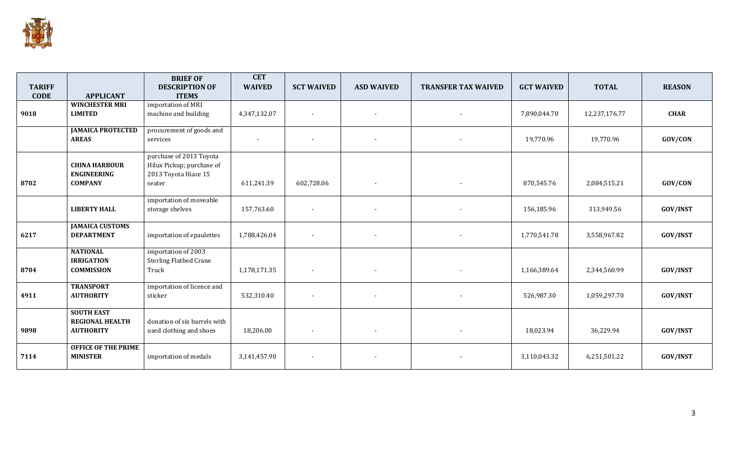

|               |                            | <b>BRIEF OF</b>               | <b>CET</b>    |                   |                          |                            |                   |               |                 |
|---------------|----------------------------|-------------------------------|---------------|-------------------|--------------------------|----------------------------|-------------------|---------------|-----------------|
| <b>TARIFF</b> |                            | <b>DESCRIPTION OF</b>         | <b>WAIVED</b> | <b>SCT WAIVED</b> | <b>ASD WAIVED</b>        | <b>TRANSFER TAX WAIVED</b> | <b>GCT WAIVED</b> | <b>TOTAL</b>  | <b>REASON</b>   |
| <b>CODE</b>   | <b>APPLICANT</b>           | <b>ITEMS</b>                  |               |                   |                          |                            |                   |               |                 |
|               | <b>WINCHESTER MRI</b>      | importation of MRI            |               |                   |                          |                            |                   |               |                 |
| 9018          | <b>LIMITED</b>             | machine and building          | 4,347,132.07  |                   | $\overline{\phantom{a}}$ | $\overline{\phantom{a}}$   | 7,890,044.70      | 12,237,176.77 | <b>CHAR</b>     |
|               | <b>JAMAICA PROTECTED</b>   | procurement of goods and      |               |                   |                          |                            |                   |               |                 |
|               | <b>AREAS</b>               | services                      |               |                   |                          |                            | 19,770.96         | 19,770.96     | GOV/CON         |
|               |                            | purchase of 2013 Toyota       |               |                   |                          |                            |                   |               |                 |
|               | <b>CHINA HARBOUR</b>       | Hilux Pickup; purchase of     |               |                   |                          |                            |                   |               |                 |
|               | <b>ENGINEERING</b>         | 2013 Toyota Hiace 15          |               |                   |                          |                            |                   |               |                 |
| 8702          | <b>COMPANY</b>             | seater                        | 611,241.39    | 602,728.06        | $\overline{\phantom{a}}$ | $\overline{\phantom{a}}$   | 870,545.76        | 2,084,515.21  | GOV/CON         |
|               |                            | importation of moveable       |               |                   |                          |                            |                   |               |                 |
|               | <b>LIBERTY HALL</b>        | storage shelves               | 157,763.60    |                   | $\overline{\phantom{a}}$ |                            | 156,185.96        | 313,949.56    | <b>GOV/INST</b> |
|               | <b>JAMAICA CUSTOMS</b>     |                               |               |                   |                          |                            |                   |               |                 |
| 6217          | <b>DEPARTMENT</b>          | importation of epaulettes     | 1,788,426.04  |                   | $\overline{\phantom{a}}$ |                            | 1,770,541.78      | 3,558,967.82  | <b>GOV/INST</b> |
|               | <b>NATIONAL</b>            | importation of 2003           |               |                   |                          |                            |                   |               |                 |
|               | <b>IRRIGATION</b>          | <b>Sterling Flatbed Crane</b> |               |                   |                          |                            |                   |               |                 |
| 8704          | <b>COMMISSION</b>          | Truck                         | 1,178,171.35  |                   | $\overline{\phantom{a}}$ |                            | 1,166,389.64      | 2,344,560.99  | GOV/INST        |
|               | <b>TRANSPORT</b>           | importation of licence and    |               |                   |                          |                            |                   |               |                 |
| 4911          | <b>AUTHORITY</b>           | sticker                       | 532,310.40    |                   | $\overline{\phantom{a}}$ |                            | 526,987.30        | 1,059,297.70  | <b>GOV/INST</b> |
|               | <b>SOUTH EAST</b>          |                               |               |                   |                          |                            |                   |               |                 |
|               | <b>REGIONAL HEALTH</b>     | donation of six barrels with  |               |                   |                          |                            |                   |               |                 |
| 9898          | <b>AUTHORITY</b>           | used clothing and shoes       | 18,206.00     |                   | $\overline{\phantom{a}}$ |                            | 18,023.94         | 36,229.94     | <b>GOV/INST</b> |
|               | <b>OFFICE OF THE PRIME</b> |                               |               |                   |                          |                            |                   |               |                 |
| 7114          | <b>MINISTER</b>            | importation of medals         | 3,141,457.90  |                   |                          |                            | 3,110,043.32      | 6,251,501.22  | <b>GOV/INST</b> |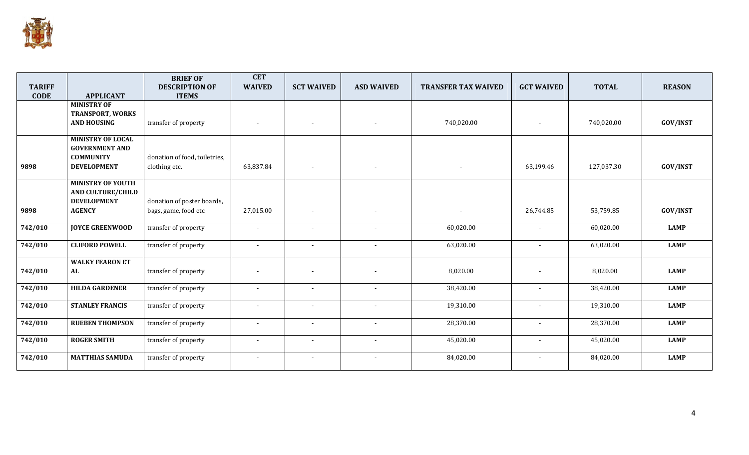

|               |                                                                                             | <b>BRIEF OF</b>                                     | <b>CET</b>     |                          |                          |                            |                          |              |                 |
|---------------|---------------------------------------------------------------------------------------------|-----------------------------------------------------|----------------|--------------------------|--------------------------|----------------------------|--------------------------|--------------|-----------------|
| <b>TARIFF</b> |                                                                                             | <b>DESCRIPTION OF</b>                               | <b>WAIVED</b>  | <b>SCT WAIVED</b>        | <b>ASD WAIVED</b>        | <b>TRANSFER TAX WAIVED</b> | <b>GCT WAIVED</b>        | <b>TOTAL</b> | <b>REASON</b>   |
| <b>CODE</b>   | <b>APPLICANT</b>                                                                            | <b>ITEMS</b>                                        |                |                          |                          |                            |                          |              |                 |
|               | <b>MINISTRY OF</b><br><b>TRANSPORT, WORKS</b><br><b>AND HOUSING</b>                         | transfer of property                                |                | $\overline{\phantom{a}}$ | $\overline{\phantom{a}}$ | 740,020.00                 |                          | 740,020.00   | <b>GOV/INST</b> |
| 9898          | <b>MINISTRY OF LOCAL</b><br><b>GOVERNMENT AND</b><br><b>COMMUNITY</b><br><b>DEVELOPMENT</b> | donation of food, toiletries,<br>clothing etc.      | 63,837.84      | $\overline{\phantom{a}}$ | $\overline{\phantom{a}}$ | $\overline{\phantom{a}}$   | 63,199.46                | 127,037.30   | <b>GOV/INST</b> |
| 9898          | <b>MINISTRY OF YOUTH</b><br><b>AND CULTURE/CHILD</b><br><b>DEVELOPMENT</b><br><b>AGENCY</b> | donation of poster boards,<br>bags, game, food etc. | 27,015.00      |                          | $\overline{\phantom{a}}$ |                            | 26,744.85                | 53,759.85    | <b>GOV/INST</b> |
| 742/010       | <b>JOYCE GREENWOOD</b>                                                                      | transfer of property                                |                |                          | $\blacksquare$           | 60,020.00                  | $\sim$                   | 60,020.00    | <b>LAMP</b>     |
| 742/010       | <b>CLIFORD POWELL</b>                                                                       | transfer of property                                | $\sim$         | $\sim$                   | $\overline{\phantom{a}}$ | 63,020.00                  |                          | 63,020.00    | <b>LAMP</b>     |
| 742/010       | <b>WALKY FEARON ET</b><br>AL                                                                | transfer of property                                |                |                          |                          | 8,020.00                   |                          | 8,020.00     | <b>LAMP</b>     |
| 742/010       | <b>HILDA GARDENER</b>                                                                       | transfer of property                                | $\sim$         | $\overline{\phantom{a}}$ | $\overline{\phantom{a}}$ | 38,420.00                  | $\sim$                   | 38,420.00    | <b>LAMP</b>     |
| 742/010       | <b>STANLEY FRANCIS</b>                                                                      | transfer of property                                | $\overline{a}$ | $\sim$                   | $\sim$                   | 19,310.00                  |                          | 19,310.00    | <b>LAMP</b>     |
| 742/010       | <b>RUEBEN THOMPSON</b>                                                                      | transfer of property                                | $\overline{a}$ | $\blacksquare$           | $\blacksquare$           | 28,370.00                  | $\overline{\phantom{a}}$ | 28,370.00    | <b>LAMP</b>     |
| 742/010       | <b>ROGER SMITH</b>                                                                          | transfer of property                                |                | $\overline{\phantom{a}}$ | $\blacksquare$           | 45,020.00                  |                          | 45,020.00    | <b>LAMP</b>     |
| 742/010       | <b>MATTHIAS SAMUDA</b>                                                                      | transfer of property                                |                |                          |                          | 84,020.00                  |                          | 84,020.00    | <b>LAMP</b>     |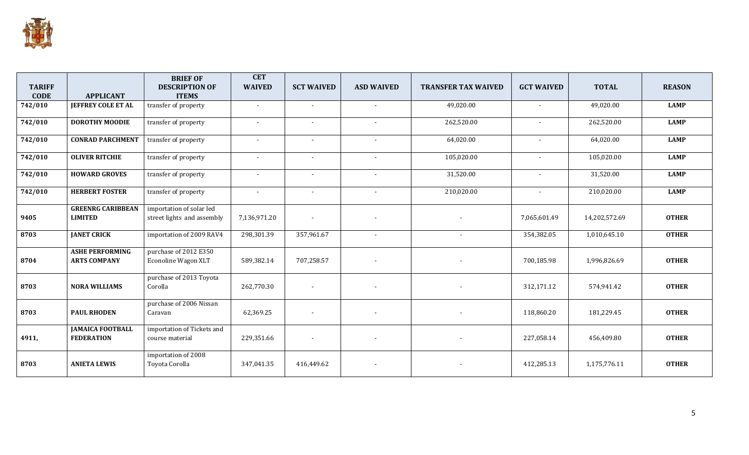

|               |                                              | <b>BRIEF OF</b>                               | <b>CET</b>               |                          |                          |                            |                          |               |               |
|---------------|----------------------------------------------|-----------------------------------------------|--------------------------|--------------------------|--------------------------|----------------------------|--------------------------|---------------|---------------|
| <b>TARIFF</b> |                                              | <b>DESCRIPTION OF</b>                         | <b>WAIVED</b>            | <b>SCT WAIVED</b>        | <b>ASD WAIVED</b>        | <b>TRANSFER TAX WAIVED</b> | <b>GCT WAIVED</b>        | <b>TOTAL</b>  | <b>REASON</b> |
| <b>CODE</b>   | <b>APPLICANT</b>                             | <b>ITEMS</b>                                  |                          |                          |                          |                            |                          |               |               |
| 742/010       | <b>JEFFREY COLE ET AL</b>                    | transfer of property                          |                          |                          |                          | 49,020.00                  |                          | 49,020.00     | <b>LAMP</b>   |
| 742/010       | <b>DOROTHY MOODIE</b>                        | transfer of property                          |                          | $\overline{\phantom{a}}$ | $\blacksquare$           | 262,520.00                 | $\overline{\phantom{a}}$ | 262,520.00    | <b>LAMP</b>   |
| 742/010       | <b>CONRAD PARCHMENT</b>                      | transfer of property                          | $\overline{\phantom{a}}$ | $\overline{\phantom{a}}$ | $\blacksquare$           | 64,020.00                  | $\blacksquare$           | 64,020.00     | <b>LAMP</b>   |
| 742/010       | <b>OLIVER RITCHIE</b>                        | transfer of property                          | $\overline{\phantom{0}}$ | $\overline{\phantom{a}}$ | $\blacksquare$           | 105,020.00                 | $\sim$                   | 105,020.00    | <b>LAMP</b>   |
| 742/010       | <b>HOWARD GROVES</b>                         | transfer of property                          |                          | $\blacksquare$           | $\blacksquare$           | 31,520.00                  |                          | 31,520.00     | <b>LAMP</b>   |
| 742/010       | <b>HERBERT FOSTER</b>                        | transfer of property                          | $\overline{\phantom{a}}$ | $\overline{\phantom{a}}$ | $\blacksquare$           | 210,020.00                 |                          | 210,020.00    | <b>LAMP</b>   |
|               | <b>GREENRG CARIBBEAN</b>                     | importation of solar led                      |                          |                          |                          |                            |                          |               |               |
| 9405          | <b>LIMITED</b>                               | street lights and assembly                    | 7,136,971.20             | $\overline{\phantom{a}}$ | $\overline{a}$           |                            | 7,065,601.49             | 14,202,572.69 | <b>OTHER</b>  |
| 8703          | <b>JANET CRICK</b>                           | importation of 2009 RAV4                      | 298,301.39               | 357,961.67               |                          |                            | 354,382.05               | 1,010,645.10  | <b>OTHER</b>  |
|               | <b>ASHE PERFORMING</b>                       | purchase of 2012 E350                         |                          |                          |                          |                            |                          |               |               |
| 8704          | <b>ARTS COMPANY</b>                          | Econoline Wagon XLT                           | 589,382.14               | 707,258.57               |                          |                            | 700,185.98               | 1,996,826.69  | <b>OTHER</b>  |
| 8703          | <b>NORA WILLIAMS</b>                         | purchase of 2013 Toyota<br>Corolla            | 262,770.30               |                          |                          |                            | 312,171.12               | 574,941.42    | <b>OTHER</b>  |
| 8703          | <b>PAUL RHODEN</b>                           | purchase of 2006 Nissan<br>Caravan            | 62,369.25                |                          |                          |                            | 118,860.20               | 181,229.45    | <b>OTHER</b>  |
| 4911,         | <b>JAMAICA FOOTBALL</b><br><b>FEDERATION</b> | importation of Tickets and<br>course material | 229,351.66               | $\overline{\phantom{a}}$ | $\overline{\phantom{a}}$ |                            | 227,058.14               | 456,409.80    | <b>OTHER</b>  |
| 8703          | <b>ANIETA LEWIS</b>                          | importation of 2008<br>Toyota Corolla         | 347,041.35               | 416,449.62               |                          |                            | 412,285.13               | 1,175,776.11  | <b>OTHER</b>  |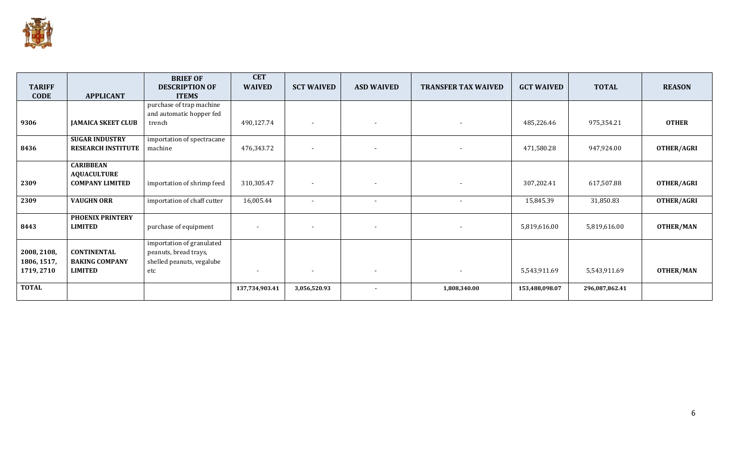

| <b>TARIFF</b> |                           | <b>BRIEF OF</b><br><b>DESCRIPTION OF</b> | <b>CET</b><br><b>WAIVED</b> | <b>SCT WAIVED</b>        | <b>ASD WAIVED</b>        | <b>TRANSFER TAX WAIVED</b> | <b>GCT WAIVED</b> | <b>TOTAL</b>   | <b>REASON</b>    |
|---------------|---------------------------|------------------------------------------|-----------------------------|--------------------------|--------------------------|----------------------------|-------------------|----------------|------------------|
| <b>CODE</b>   | <b>APPLICANT</b>          | <b>ITEMS</b>                             |                             |                          |                          |                            |                   |                |                  |
|               |                           | purchase of trap machine                 |                             |                          |                          |                            |                   |                |                  |
|               |                           | and automatic hopper fed                 |                             |                          |                          |                            |                   |                |                  |
| 9306          | <b>JAMAICA SKEET CLUB</b> | trench                                   | 490,127.74                  | $\overline{\phantom{a}}$ | $\overline{\phantom{a}}$ | $\overline{\phantom{a}}$   | 485,226.46        | 975,354.21     | <b>OTHER</b>     |
|               |                           |                                          |                             |                          |                          |                            |                   |                |                  |
|               | <b>SUGAR INDUSTRY</b>     | importation of spectracane               |                             |                          |                          |                            |                   |                |                  |
| 8436          | <b>RESEARCH INSTITUTE</b> | machine                                  | 476,343.72                  | $\overline{\phantom{a}}$ | $\overline{\phantom{a}}$ |                            | 471,580.28        | 947,924.00     | OTHER/AGRI       |
|               |                           |                                          |                             |                          |                          |                            |                   |                |                  |
|               | <b>CARIBBEAN</b>          |                                          |                             |                          |                          |                            |                   |                |                  |
|               | <b>AQUACULTURE</b>        |                                          |                             |                          |                          |                            |                   |                |                  |
| 2309          | <b>COMPANY LIMITED</b>    | importation of shrimp feed               | 310,305.47                  | $\overline{\phantom{a}}$ | $\overline{\phantom{a}}$ | $\overline{\phantom{a}}$   | 307,202.41        | 617,507.88     | OTHER/AGRI       |
|               |                           |                                          |                             |                          |                          |                            |                   |                |                  |
| 2309          | <b>VAUGHN ORR</b>         | importation of chaff cutter              | 16,005.44                   | $\overline{\phantom{a}}$ | $\overline{\phantom{a}}$ | $\overline{\phantom{a}}$   | 15,845.39         | 31,850.83      | OTHER/AGRI       |
|               | <b>PHOENIX PRINTERY</b>   |                                          |                             |                          |                          |                            |                   |                |                  |
| 8443          | <b>LIMITED</b>            | purchase of equipment                    |                             | $\overline{\phantom{a}}$ | $\blacksquare$           | $\overline{\phantom{a}}$   | 5,819,616.00      | 5,819,616.00   | <b>OTHER/MAN</b> |
|               |                           |                                          |                             |                          |                          |                            |                   |                |                  |
|               |                           | importation of granulated                |                             |                          |                          |                            |                   |                |                  |
| 2008, 2108,   | <b>CONTINENTAL</b>        | peanuts, bread trays,                    |                             |                          |                          |                            |                   |                |                  |
| 1806, 1517,   | <b>BAKING COMPANY</b>     | shelled peanuts, vegalube                |                             |                          |                          |                            |                   |                |                  |
| 1719, 2710    | <b>LIMITED</b>            | etc                                      |                             | $\overline{\phantom{a}}$ | $\blacksquare$           | $\overline{\phantom{a}}$   | 5,543,911.69      | 5,543,911.69   | <b>OTHER/MAN</b> |
|               |                           |                                          |                             |                          |                          |                            |                   |                |                  |
| <b>TOTAL</b>  |                           |                                          | 137,734,903.41              | 3,056,520.93             | $\blacksquare$           | 1,808,340.00               | 153,488,098.07    | 296,087,862.41 |                  |
|               |                           |                                          |                             |                          |                          |                            |                   |                |                  |